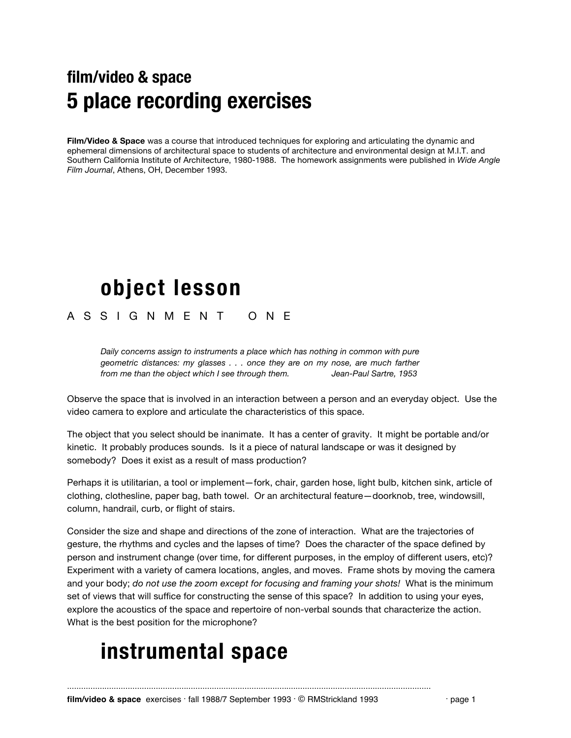## **film/video & space 5 place recording exercises**

**Film/Video & Space** was a course that introduced techniques for exploring and articulating the dynamic and ephemeral dimensions of architectural space to students of architecture and environmental design at M.I.T. and Southern California Institute of Architecture, 1980-1988. The homework assignments were published in *Wide Angle Film Journal*, Athens, OH, December 1993.

## **object lesson**

#### A S S I G N M E N T O N E

*Daily concerns assign to instruments a place which has nothing in common with pure geometric distances: my glasses . . . once they are on my nose, are much farther from me than the object which I see through them. Jean-Paul Sartre, 1953*

Observe the space that is involved in an interaction between a person and an everyday object. Use the video camera to explore and articulate the characteristics of this space.

The object that you select should be inanimate. It has a center of gravity. It might be portable and/or kinetic. It probably produces sounds. Is it a piece of natural landscape or was it designed by somebody? Does it exist as a result of mass production?

Perhaps it is utilitarian, a tool or implement—fork, chair, garden hose, light bulb, kitchen sink, article of clothing, clothesline, paper bag, bath towel. Or an architectural feature—doorknob, tree, windowsill, column, handrail, curb, or flight of stairs.

Consider the size and shape and directions of the zone of interaction. What are the trajectories of gesture, the rhythms and cycles and the lapses of time? Does the character of the space defined by person and instrument change (over time, for different purposes, in the employ of different users, etc)? Experiment with a variety of camera locations, angles, and moves. Frame shots by moving the camera and your body; *do not use the zoom except for focusing and framing your shots!* What is the minimum set of views that will suffice for constructing the sense of this space? In addition to using your eyes, explore the acoustics of the space and repertoire of non-verbal sounds that characterize the action. What is the best position for the microphone?

## **instrumental space**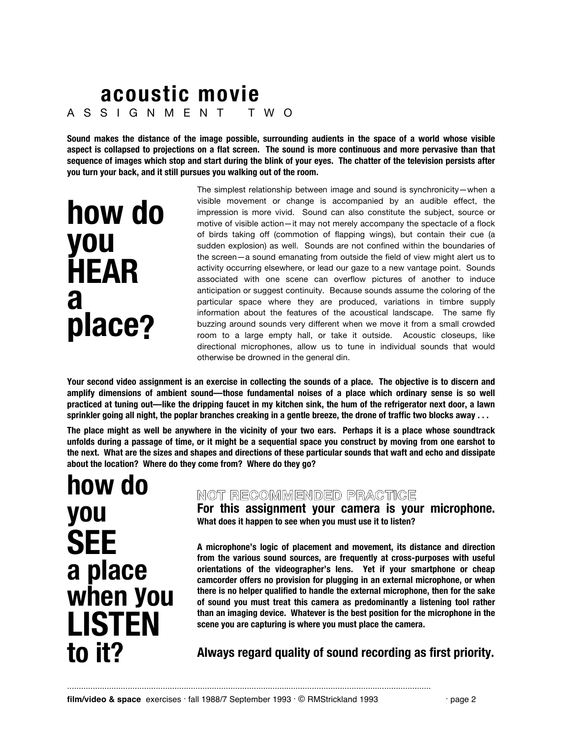### **acoustic movie** A S S I G N M E N T T W O

**Sound makes the distance of the image possible, surrounding audients in the space of a world whose visible aspect is collapsed to projections on a flat screen. The sound is more continuous and more pervasive than that sequence of images which stop and start during the blink of your eyes. The chatter of the television persists after you turn your back, and it still pursues you walking out of the room.**

> The simplest relationship between image and sound is synchronicity—when a visible movement or change is accompanied by an audible effect, the impression is more vivid. Sound can also constitute the subject, source or motive of visible action—it may not merely accompany the spectacle of a flock of birds taking off (commotion of flapping wings), but contain their cue (a sudden explosion) as well. Sounds are not confined within the boundaries of the screen—a sound emanating from outside the field of view might alert us to activity occurring elsewhere, or lead our gaze to a new vantage point. Sounds associated with one scene can overflow pictures of another to induce anticipation or suggest continuity. Because sounds assume the coloring of the particular space where they are produced, variations in timbre supply information about the features of the acoustical landscape. The same fly buzzing around sounds very different when we move it from a small crowded room to a large empty hall, or take it outside. Acoustic closeups, like directional microphones, allow us to tune in individual sounds that would otherwise be drowned in the general din.

**Your second video assignment is an exercise in collecting the sounds of a place. The objective is to discern and amplify dimensions of ambient sound—those fundamental noises of a place which ordinary sense is so well practiced at tuning out—like the dripping faucet in my kitchen sink, the hum of the refrigerator next door, a lawn sprinkler going all night, the poplar branches creaking in a gentle breeze, the drone of traffic two blocks away . . .**

**The place might as well be anywhere in the vicinity of your two ears. Perhaps it is a place whose soundtrack unfolds during a passage of time, or it might be a sequential space you construct by moving from one earshot to the next. What are the sizes and shapes and directions of these particular sounds that waft and echo and dissipate about the location? Where do they come from? Where do they go?**

# **how do you SEE a place when you LISTEN to it?**

**how do** 

**you**

**a**

**HEAR**

**place?**

#### NOT RECOMMENDED PRACTICE

**For this assignment your camera is your microphone. What does it happen to see when you must use it to listen?**

**A microphone's logic of placement and movement, its distance and direction from the various sound sources, are frequently at cross-purposes with useful orientations of the videographer's lens. Yet if your smartphone or cheap camcorder offers no provision for plugging in an external microphone, or when there is no helper qualified to handle the external microphone, then for the sake of sound you must treat this camera as predominantly a listening tool rather than an imaging device. Whatever is the best position for the microphone in the scene you are capturing is where you must place the camera.**

### **Always regard quality of sound recording as first priority.**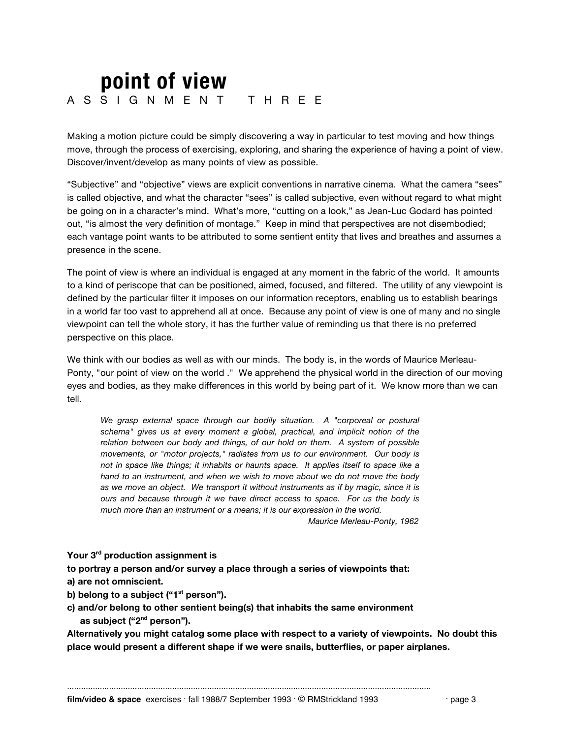### **point of view** A S S I G N M E N T T H R E E

Making a motion picture could be simply discovering a way in particular to test moving and how things move, through the process of exercising, exploring, and sharing the experience of having a point of view. Discover/invent/develop as many points of view as possible.

"Subjective" and "objective" views are explicit conventions in narrative cinema. What the camera "sees" is called objective, and what the character "sees" is called subjective, even without regard to what might be going on in a character's mind. What's more, "cutting on a look," as Jean-Luc Godard has pointed out, "is almost the very definition of montage." Keep in mind that perspectives are not disembodied; each vantage point wants to be attributed to some sentient entity that lives and breathes and assumes a presence in the scene.

The point of view is where an individual is engaged at any moment in the fabric of the world. It amounts to a kind of periscope that can be positioned, aimed, focused, and filtered. The utility of any viewpoint is defined by the particular filter it imposes on our information receptors, enabling us to establish bearings in a world far too vast to apprehend all at once. Because any point of view is one of many and no single viewpoint can tell the whole story, it has the further value of reminding us that there is no preferred perspective on this place.

We think with our bodies as well as with our minds. The body is, in the words of Maurice Merleau-Ponty, "our point of view on the world ." We apprehend the physical world in the direction of our moving eyes and bodies, as they make differences in this world by being part of it. We know more than we can tell.

We grasp external space through our bodily situation. A "corporeal or postural *schema" gives us at every moment a global, practical, and implicit notion of the relation between our body and things, of our hold on them. A system of possible movements, or "motor projects," radiates from us to our environment. Our body is not in space like things; it inhabits or haunts space. It applies itself to space like a hand to an instrument, and when we wish to move about we do not move the body as we move an object. We transport it without instruments as if by magic, since it is ours and because through it we have direct access to space. For us the body is much more than an instrument or a means; it is our expression in the world.*

 *Maurice Merleau-Ponty, 1962*

#### **Your 3rd production assignment is**

**to portray a person and/or survey a place through a series of viewpoints that: a) are not omniscient.**

b) belong to a subject ("1<sup>st</sup> person").

**c) and/or belong to other sentient being(s) that inhabits the same environment as subject ("2nd person").** 

**Alternatively you might catalog some place with respect to a variety of viewpoints. No doubt this place would present a different shape if we were snails, butterflies, or paper airplanes.**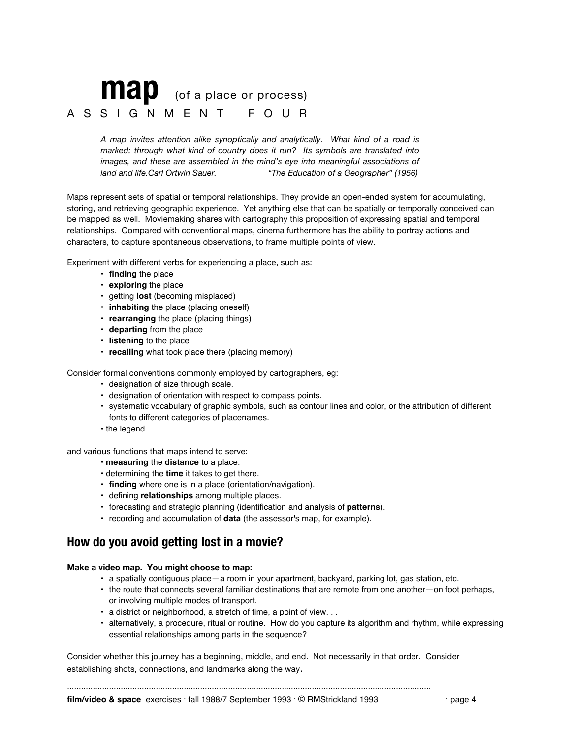## **map** (of a place or process) A S S I G N M E N T F O U R

*A map invites attention alike synoptically and analytically. What kind of a road is marked; through what kind of country does it run? Its symbols are translated into images, and these are assembled in the mind's eye into meaningful associations of land and life.Carl Ortwin Sauer. "The Education of a Geographer" (1956)*

Maps represent sets of spatial or temporal relationships. They provide an open-ended system for accumulating, storing, and retrieving geographic experience. Yet anything else that can be spatially or temporally conceived can be mapped as well. Moviemaking shares with cartography this proposition of expressing spatial and temporal relationships. Compared with conventional maps, cinema furthermore has the ability to portray actions and characters, to capture spontaneous observations, to frame multiple points of view.

Experiment with different verbs for experiencing a place, such as:

- **finding** the place
- **exploring** the place
- getting **lost** (becoming misplaced)
- **inhabiting** the place (placing oneself)
- **rearranging** the place (placing things)
- **departing** from the place
- **listening** to the place
- **recalling** what took place there (placing memory)

Consider formal conventions commonly employed by cartographers, eg:

- designation of size through scale.
- designation of orientation with respect to compass points.
- systematic vocabulary of graphic symbols, such as contour lines and color, or the attribution of different fonts to different categories of placenames.
- the legend.

and various functions that maps intend to serve:

- **measuring** the **distance** to a place.
- determining the **time** it takes to get there.
- **finding** where one is in a place (orientation/navigation).
- defining **relationships** among multiple places.
- forecasting and strategic planning (identification and analysis of **patterns**).
- recording and accumulation of **data** (the assessor's map, for example).

### **How do you avoid getting lost in a movie?**

**Make a video map. You might choose to map:**

- a spatially contiguous place—a room in your apartment, backyard, parking lot, gas station, etc.
- the route that connects several familiar destinations that are remote from one another—on foot perhaps, or involving multiple modes of transport.
- a district or neighborhood, a stretch of time, a point of view. . .
- alternatively, a procedure, ritual or routine. How do you capture its algorithm and rhythm, while expressing essential relationships among parts in the sequence?

Consider whether this journey has a beginning, middle, and end. Not necessarily in that order. Consider establishing shots, connections, and landmarks along the way.